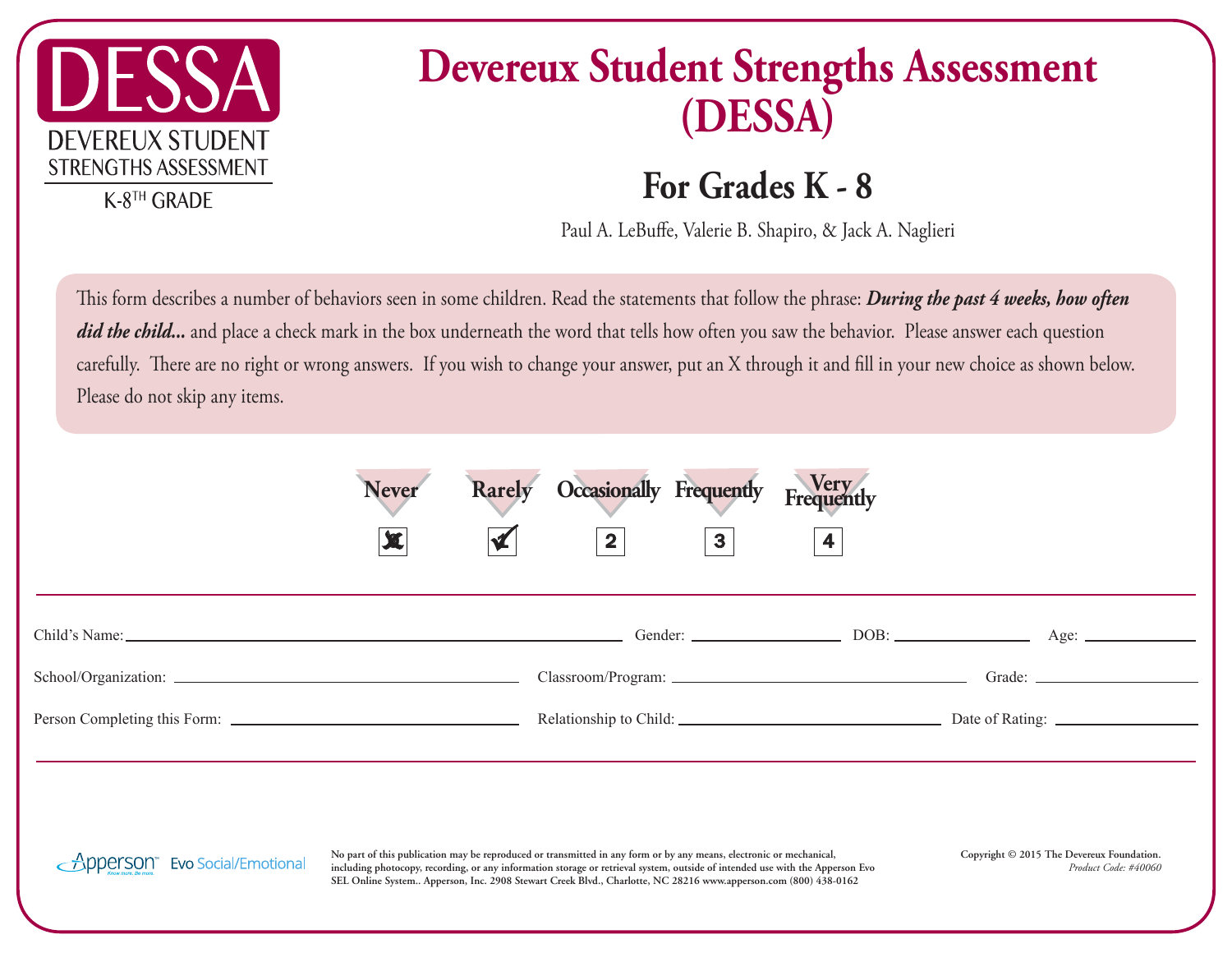

## **Devereux Student Strengths Assessment (DESSA)**

## **For Grades K - 8**

Paul A. LeBuffe, Valerie B. Shapiro, & Jack A. Naglieri

This form describes a number of behaviors seen in some children. Read the statements that follow the phrase: *During the past 4 weeks, how often* did the child... and place a check mark in the box underneath the word that tells how often you saw the behavior. Please answer each question carefully. There are no right or wrong answers. If you wish to change your answer, put an X through it and fill in your new choice as shown below. Please do not skip any items.

| <b>Never</b><br>$\mathbf x$ | Rarely Occasionally Frequently Frequently<br>$\boxed{2}$ | $\mathbf{3}$ | $\overline{\mathbf{4}}$ |  |
|-----------------------------|----------------------------------------------------------|--------------|-------------------------|--|
|                             |                                                          |              |                         |  |
|                             |                                                          |              |                         |  |
|                             |                                                          |              |                         |  |
|                             |                                                          |              |                         |  |
|                             |                                                          |              |                         |  |
|                             |                                                          |              |                         |  |

Apperson <sub>SEL+</sub> Contribution No part of this publication may be reproduced or transmitted in any form or by any means, electronic or mechanical, Apperson, Inc. 2908 Stewart Creek Blvd., Charlotte, NC 28216 **SEL Online System.. Apperson, Inc. 2908 Stewart Creek Blvd., Charlotte, NC 28216 www.apperson.com (800) 438-0162 including photocopy, recording, or any information storage or retrieval system, outside of intended use with the Apperson Evo** 

**Copyright © 2015 The Devereux Foundation.** *Product Code: #40060*